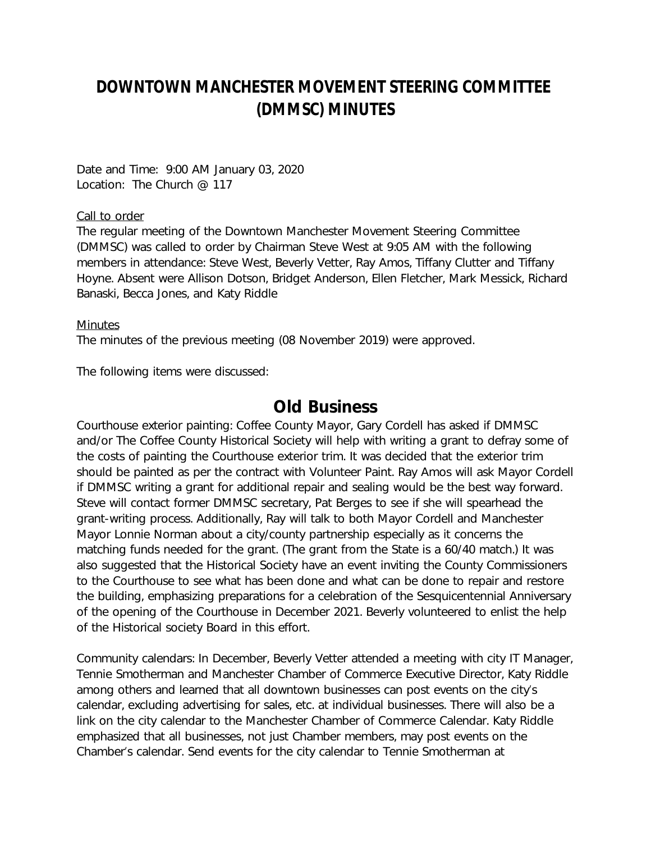## **DOWNTOWN MANCHESTER MOVEMENT STEERING COMMITTEE (DMMSC) MINUTES**

Date and Time: 9:00 AM January 03, 2020 Location: The Church @ 117

## Call to order

The regular meeting of the Downtown Manchester Movement Steering Committee (DMMSC) was called to order by Chairman Steve West at 9:05 AM with the following members in attendance: Steve West, Beverly Vetter, Ray Amos, Tiffany Clutter and Tiffany Hoyne. Absent were Allison Dotson, Bridget Anderson, Ellen Fletcher, Mark Messick, Richard Banaski, Becca Jones, and Katy Riddle

## **Minutes**

The minutes of the previous meeting (08 November 2019) were approved.

The following items were discussed:

## *Old Business*

*Courthouse exterior painting:* Coffee County Mayor, Gary Cordell has asked if DMMSC and/or The Coffee County Historical Society will help with writing a grant to defray some of the costs of painting the Courthouse exterior trim. It was decided that the exterior trim should be painted as per the contract with Volunteer Paint. Ray Amos will ask Mayor Cordell if DMMSC writing a grant for additional repair and sealing would be the best way forward. Steve will contact former DMMSC secretary, Pat Berges to see if she will spearhead the grant-writing process. Additionally, Ray will talk to both Mayor Cordell and Manchester Mayor Lonnie Norman about a city/county partnership especially as it concerns the matching funds needed for the grant. (The grant from the State is a 60/40 match.) It was also suggested that the Historical Society have an event inviting the County Commissioners to the Courthouse to see what has been done and what can be done to repair and restore the building, emphasizing preparations for a celebration of the Sesquicentennial Anniversary of the opening of the Courthouse in December 2021. Beverly volunteered to enlist the help of the Historical society Board in this effort.

*Community calendars:* In December, Beverly Vetter attended a meeting with city IT Manager, Tennie Smotherman and Manchester Chamber of Commerce Executive Director, Katy Riddle among others and learned that all downtown businesses can post events on the city's calendar, excluding advertising for sales, etc. at individual businesses. There will also be a link on the city calendar to the Manchester Chamber of Commerce Calendar. Katy Riddle emphasized that all businesses, not just Chamber members, may post events on the Chamber's calendar. Send events for the city calendar to Tennie Smotherman at